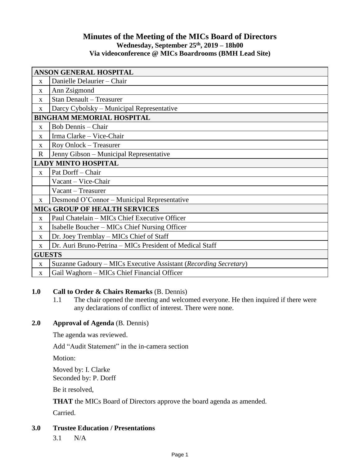# **Minutes of the Meeting of the MICs Board of Directors Wednesday, September 25th , 2019 – 18h00 Via videoconference @ MICs Boardrooms (BMH Lead Site)**

| <b>ANSON GENERAL HOSPITAL</b>        |                                                                  |
|--------------------------------------|------------------------------------------------------------------|
| $\mathbf{x}$                         | Danielle Delaurier - Chair                                       |
| $\mathbf{X}$                         | Ann Zsigmond                                                     |
| $\mathbf{X}$                         | <b>Stan Denault - Treasurer</b>                                  |
| $\mathbf{X}$                         | Darcy Cybolsky – Municipal Representative                        |
| <b>BINGHAM MEMORIAL HOSPITAL</b>     |                                                                  |
| $\mathbf{X}$                         | <b>Bob Dennis</b> – Chair                                        |
| $\mathbf{x}$                         | Irma Clarke - Vice-Chair                                         |
| $\mathbf{x}$                         | Roy Onlock – Treasurer                                           |
| $\mathbf R$                          | Jenny Gibson - Municipal Representative                          |
| <b>LADY MINTO HOSPITAL</b>           |                                                                  |
| $\mathbf{x}$                         | Pat Dorff - Chair                                                |
|                                      | Vacant - Vice-Chair                                              |
|                                      | Vacant - Treasurer                                               |
| $\mathbf{X}$                         | Desmond O'Connor – Municipal Representative                      |
| <b>MICS GROUP OF HEALTH SERVICES</b> |                                                                  |
| $\mathbf X$                          | Paul Chatelain - MICs Chief Executive Officer                    |
| $\mathbf{X}$                         | Isabelle Boucher – MICs Chief Nursing Officer                    |
| $\mathbf{X}$                         | Dr. Joey Tremblay - MICs Chief of Staff                          |
| $\mathbf{X}$                         | Dr. Auri Bruno-Petrina – MICs President of Medical Staff         |
| <b>GUESTS</b>                        |                                                                  |
| $\mathbf X$                          | Suzanne Gadoury – MICs Executive Assistant (Recording Secretary) |
| X                                    | Gail Waghorn - MICs Chief Financial Officer                      |

# **1.0 Call to Order & Chairs Remarks** (B. Dennis)

1.1 The chair opened the meeting and welcomed everyone. He then inquired if there were any declarations of conflict of interest. There were none.

# **2.0 Approval of Agenda** (B. Dennis)

The agenda was reviewed.

Add "Audit Statement" in the in-camera section

Motion:

Moved by: I. Clarke Seconded by: P. Dorff

Be it resolved,

**THAT** the MICs Board of Directors approve the board agenda as amended.

Carried.

- **3.0 Trustee Education / Presentations**
	- 3.1 N/A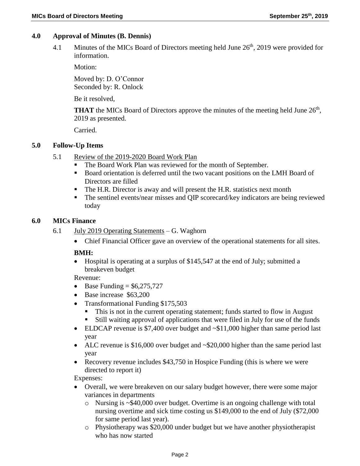## **4.0 Approval of Minutes (B. Dennis)**

4.1 Minutes of the MICs Board of Directors meeting held June  $26<sup>th</sup>$ , 2019 were provided for information.

Motion:

Moved by: D. O'Connor Seconded by: R. Onlock

Be it resolved,

**THAT** the MICs Board of Directors approve the minutes of the meeting held June  $26<sup>th</sup>$ , 2019 as presented.

Carried.

## **5.0 Follow-Up Items**

- 5.1 Review of the 2019-2020 Board Work Plan
	- The Board Work Plan was reviewed for the month of September.
	- Board orientation is deferred until the two vacant positions on the LMH Board of Directors are filled
	- The H.R. Director is away and will present the H.R. statistics next month
	- The sentinel events/near misses and QIP scorecard/key indicators are being reviewed today

#### **6.0 MICs Finance**

- 6.1 July 2019 Operating Statements G. Waghorn
	- Chief Financial Officer gave an overview of the operational statements for all sites.

## **BMH:**

 Hospital is operating at a surplus of \$145,547 at the end of July; submitted a breakeven budget

Revenue:

- $\bullet$  Base Funding = \$6,275,727
- Base increase \$63,200
- Transformational Funding \$175,503
	- This is not in the current operating statement; funds started to flow in August
	- Still waiting approval of applications that were filed in July for use of the funds
- ELDCAP revenue is \$7,400 over budget and ~\$11,000 higher than same period last year
- ALC revenue is \$16,000 over budget and  $\sim$  \$20,000 higher than the same period last year
- Recovery revenue includes \$43,750 in Hospice Funding (this is where we were directed to report it)

Expenses:

- Overall, we were breakeven on our salary budget however, there were some major variances in departments
	- o Nursing is ~\$40,000 over budget. Overtime is an ongoing challenge with total nursing overtime and sick time costing us \$149,000 to the end of July (\$72,000 for same period last year).
	- o Physiotherapy was \$20,000 under budget but we have another physiotherapist who has now started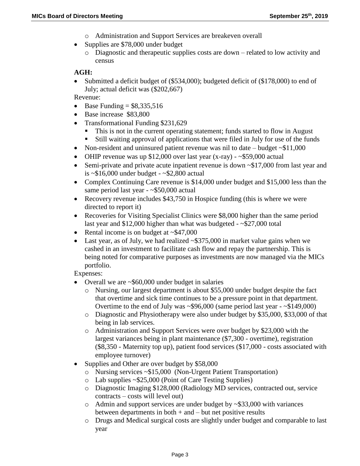- o Administration and Support Services are breakeven overall
- Supplies are \$78,000 under budget
	- $\circ$  Diagnostic and therapeutic supplies costs are down related to low activity and census

## **AGH:**

 Submitted a deficit budget of (\$534,000); budgeted deficit of (\$178,000) to end of July; actual deficit was (\$202,667)

Revenue:

- Base Funding  $= $8,335,516$
- Base increase \$83,800
- Transformational Funding \$231,629
	- This is not in the current operating statement; funds started to flow in August
	- Still waiting approval of applications that were filed in July for use of the funds
- Non-resident and uninsured patient revenue was nil to date budget  $\sim$ \$11,000
- OHIP revenue was up \$12,000 over last year  $(x-ray)$   $\sim$  \$59,000 actual
- Semi-private and private acute inpatient revenue is down  $\sim$ \$17,000 from last year and is  $\sim $16,000$  under budget -  $\sim $2,800$  actual
- Complex Continuing Care revenue is \$14,000 under budget and \$15,000 less than the same period last year - ~\$50,000 actual
- Recovery revenue includes \$43,750 in Hospice funding (this is where we were directed to report it)
- Recoveries for Visiting Specialist Clinics were \$8,000 higher than the same period last year and \$12,000 higher than what was budgeted - ~\$27,000 total
- Rental income is on budget at  $\sim$ \$47,000
- Last year, as of July, we had realized  $\sim$  \$375,000 in market value gains when we cashed in an investment to facilitate cash flow and repay the partnership. This is being noted for comparative purposes as investments are now managed via the MICs portfolio.

Expenses:

- Overall we are ~\$60,000 under budget in salaries
	- o Nursing, our largest department is about \$55,000 under budget despite the fact that overtime and sick time continues to be a pressure point in that department. Overtime to the end of July was  $\sim$ \$96,000 (same period last year -  $\sim$ \$149,000)
	- o Diagnostic and Physiotherapy were also under budget by \$35,000, \$33,000 of that being in lab services.
	- o Administration and Support Services were over budget by \$23,000 with the largest variances being in plant maintenance (\$7,300 - overtime), registration (\$8,350 - Maternity top up), patient food services (\$17,000 - costs associated with employee turnover)
- Supplies and Other are over budget by \$58,000
	- o Nursing services ~\$15,000 (Non-Urgent Patient Transportation)
	- o Lab supplies ~\$25,000 (Point of Care Testing Supplies)
	- o Diagnostic Imaging \$128,000 (Radiology MD services, contracted out, service contracts – costs will level out)
	- $\circ$  Admin and support services are under budget by  $\sim$ \$33,000 with variances between departments in both  $+$  and  $-$  but net positive results
	- o Drugs and Medical surgical costs are slightly under budget and comparable to last year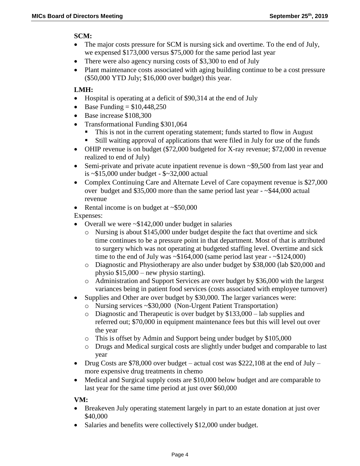## **SCM:**

- The major costs pressure for SCM is nursing sick and overtime. To the end of July, we expensed \$173,000 versus \$75,000 for the same period last year
- There were also agency nursing costs of \$3,300 to end of July
- Plant maintenance costs associated with aging building continue to be a cost pressure (\$50,000 YTD July; \$16,000 over budget) this year.

## **LMH:**

- Hospital is operating at a deficit of \$90,314 at the end of July
- Base Funding  $= $10,448,250$
- Base increase \$108,300
- Transformational Funding \$301,064
	- This is not in the current operating statement; funds started to flow in August
	- Still waiting approval of applications that were filed in July for use of the funds
- OHIP revenue is on budget (\$72,000 budgeted for X-ray revenue; \$72,000 in revenue realized to end of July)
- Semi-private and private acute inpatient revenue is down ~\$9,500 from last year and is ~\$15,000 under budget - \$~32,000 actual
- Complex Continuing Care and Alternate Level of Care copayment revenue is \$27,000 over budget and \$35,000 more than the same period last year - ~\$44,000 actual revenue
- Rental income is on budget at  $\sim$ \$50,000

Expenses:

- Overall we were  $\sim$ \$142,000 under budget in salaries
	- o Nursing is about \$145,000 under budget despite the fact that overtime and sick time continues to be a pressure point in that department. Most of that is attributed to surgery which was not operating at budgeted staffing level. Overtime and sick time to the end of July was  $\sim $164,000$  (same period last year -  $\sim $124,000$ )
	- o Diagnostic and Physiotherapy are also under budget by \$38,000 (lab \$20,000 and physio \$15,000 – new physio starting).
	- o Administration and Support Services are over budget by \$36,000 with the largest variances being in patient food services (costs associated with employee turnover)
- Supplies and Other are over budget by \$30,000. The larger variances were:
	- o Nursing services ~\$30,000 (Non-Urgent Patient Transportation)
	- o Diagnostic and Therapeutic is over budget by \$133,000 lab supplies and referred out; \$70,000 in equipment maintenance fees but this will level out over the year
	- o This is offset by Admin and Support being under budget by \$105,000
	- o Drugs and Medical surgical costs are slightly under budget and comparable to last year
- Drug Costs are \$78,000 over budget actual cost was \$222,108 at the end of July more expensive drug treatments in chemo
- Medical and Surgical supply costs are \$10,000 below budget and are comparable to last year for the same time period at just over \$60,000

## **VM:**

- Breakeven July operating statement largely in part to an estate donation at just over \$40,000
- Salaries and benefits were collectively \$12,000 under budget.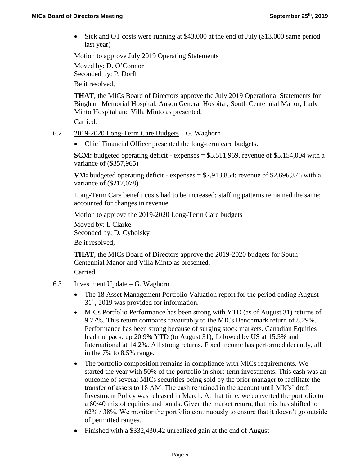Sick and OT costs were running at \$43,000 at the end of July (\$13,000 same period last year)

Motion to approve July 2019 Operating Statements

Moved by: D. O'Connor Seconded by: P. Dorff Be it resolved,

**THAT**, the MICs Board of Directors approve the July 2019 Operational Statements for Bingham Memorial Hospital, Anson General Hospital, South Centennial Manor, Lady Minto Hospital and Villa Minto as presented.

Carried.

- 6.2 2019-2020 Long-Term Care Budgets G. Waghorn
	- Chief Financial Officer presented the long-term care budgets.

**SCM:** budgeted operating deficit - expenses = \$5,511,969, revenue of \$5,154,004 with a variance of (\$357,965)

**VM:** budgeted operating deficit - expenses  $=$  \$2,913,854; revenue of \$2,696,376 with a variance of (\$217,078)

Long-Term Care benefit costs had to be increased; staffing patterns remained the same; accounted for changes in revenue

Motion to approve the 2019-2020 Long-Term Care budgets

Moved by: I. Clarke Seconded by: D. Cybolsky

Be it resolved,

**THAT**, the MICs Board of Directors approve the 2019-2020 budgets for South Centennial Manor and Villa Minto as presented.

Carried.

- 6.3 Investment Update G. Waghorn
	- The 18 Asset Management Portfolio Valuation report for the period ending August 31st, 2019 was provided for information.
	- MICs Portfolio Performance has been strong with YTD (as of August 31) returns of 9.77%. This return compares favourably to the MICs Benchmark return of 8.29%. Performance has been strong because of surging stock markets. Canadian Equities lead the pack, up 20.9% YTD (to August 31), followed by US at 15.5% and International at 14.2%. All strong returns. Fixed income has performed decently, all in the 7% to 8.5% range.
	- The portfolio composition remains in compliance with MICs requirements. We started the year with 50% of the portfolio in short-term investments. This cash was an outcome of several MICs securities being sold by the prior manager to facilitate the transfer of assets to 18 AM. The cash remained in the account until MICs' draft Investment Policy was released in March. At that time, we converted the portfolio to a 60/40 mix of equities and bonds. Given the market return, that mix has shifted to 62% / 38%. We monitor the portfolio continuously to ensure that it doesn't go outside of permitted ranges.
	- Finished with a \$332,430.42 unrealized gain at the end of August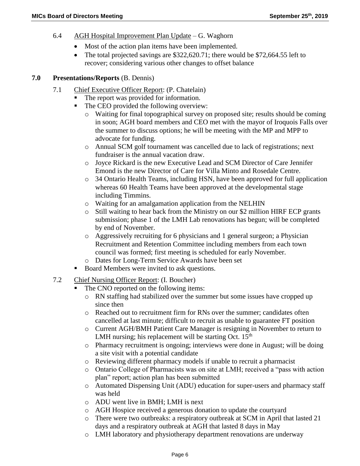- 6.4 AGH Hospital Improvement Plan Update G. Waghorn
	- Most of the action plan items have been implemented.
	- The total projected savings are \$322,620.71; there would be \$72,664.55 left to recover; considering various other changes to offset balance

## **7.0 Presentations/Reports** (B. Dennis)

- 7.1 Chief Executive Officer Report: (P. Chatelain)
	- The report was provided for information.
	- The CEO provided the following overview:
		- o Waiting for final topographical survey on proposed site; results should be coming in soon; AGH board members and CEO met with the mayor of Iroquois Falls over the summer to discuss options; he will be meeting with the MP and MPP to advocate for funding.
		- o Annual SCM golf tournament was cancelled due to lack of registrations; next fundraiser is the annual vacation draw.
		- o Joyce Rickard is the new Executive Lead and SCM Director of Care Jennifer Emond is the new Director of Care for Villa Minto and Rosedale Centre.
		- o 34 Ontario Health Teams, including HSN, have been approved for full application whereas 60 Health Teams have been approved at the developmental stage including Timmins.
		- o Waiting for an amalgamation application from the NELHIN
		- o Still waiting to hear back from the Ministry on our \$2 million HIRF ECP grants submission; phase 1 of the LMH Lab renovations has begun; will be completed by end of November.
		- o Aggressively recruiting for 6 physicians and 1 general surgeon; a Physician Recruitment and Retention Committee including members from each town council was formed; first meeting is scheduled for early November.
		- Dates for Long-Term Service Awards have been set
	- Board Members were invited to ask questions.
- 7.2 Chief Nursing Officer Report: (I. Boucher)
	- The CNO reported on the following items:
		- o RN staffing had stabilized over the summer but some issues have cropped up since then
		- o Reached out to recruitment firm for RNs over the summer; candidates often cancelled at last minute; difficult to recruit as unable to guarantee FT position
		- o Current AGH/BMH Patient Care Manager is resigning in November to return to LMH nursing; his replacement will be starting Oct.  $15<sup>th</sup>$
		- o Pharmacy recruitment is ongoing; interviews were done in August; will be doing a site visit with a potential candidate
		- o Reviewing different pharmacy models if unable to recruit a pharmacist
		- o Ontario College of Pharmacists was on site at LMH; received a "pass with action plan" report; action plan has been submitted
		- o Automated Dispensing Unit (ADU) education for super-users and pharmacy staff was held
		- o ADU went live in BMH; LMH is next
		- o AGH Hospice received a generous donation to update the courtyard
		- o There were two outbreaks: a respiratory outbreak at SCM in April that lasted 21 days and a respiratory outbreak at AGH that lasted 8 days in May
		- o LMH laboratory and physiotherapy department renovations are underway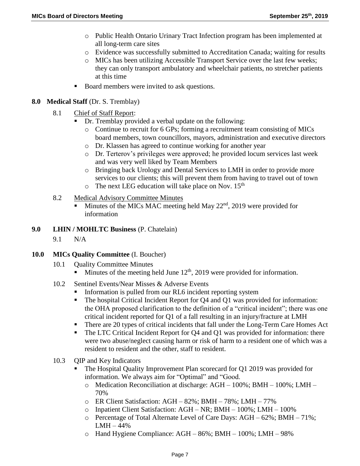- o Public Health Ontario Urinary Tract Infection program has been implemented at all long-term care sites
- o Evidence was successfully submitted to Accreditation Canada; waiting for results
- o MICs has been utilizing Accessible Transport Service over the last few weeks; they can only transport ambulatory and wheelchair patients, no stretcher patients at this time
- Board members were invited to ask questions.

## **8.0 Medical Staff** (Dr. S. Tremblay)

- 8.1 Chief of Staff Report:
	- Dr. Tremblay provided a verbal update on the following:
		- o Continue to recruit for 6 GPs; forming a recruitment team consisting of MICs board members, town councillors, mayors, administration and executive directors
		- o Dr. Klassen has agreed to continue working for another year
		- o Dr. Terterov's privileges were approved; he provided locum services last week and was very well liked by Team Members
		- o Bringing back Urology and Dental Services to LMH in order to provide more services to our clients; this will prevent them from having to travel out of town
		- $\circ$  The next LEG education will take place on Nov. 15<sup>th</sup>
- 8.2 Medical Advisory Committee Minutes
	- $\blacksquare$  Minutes of the MICs MAC meeting held May 22<sup>nd</sup>, 2019 were provided for information
- **9.0 LHIN / MOHLTC Business** (P. Chatelain)
	- 9.1 N/A

# **10.0 MICs Quality Committee** (I. Boucher)

- 10.1 **Quality Committee Minutes** 
	- $\blacksquare$  Minutes of the meeting held June 12<sup>th</sup>, 2019 were provided for information.
- 10.2 Sentinel Events/Near Misses & Adverse Events
	- Information is pulled from our RL6 incident reporting system
	- The hospital Critical Incident Report for Q4 and Q1 was provided for information: the OHA proposed clarification to the definition of a "critical incident"; there was one critical incident reported for Q1 of a fall resulting in an injury/fracture at LMH
	- There are 20 types of critical incidents that fall under the Long-Term Care Homes Act
	- The LTC Critical Incident Report for Q4 and Q1 was provided for information: there were two abuse/neglect causing harm or risk of harm to a resident one of which was a resident to resident and the other, staff to resident.
- 10.3 QIP and Key Indicators
	- The Hospital Quality Improvement Plan scorecard for Q1 2019 was provided for information. We always aim for "Optimal" and "Good.
		- o Medication Reconciliation at discharge: AGH 100%; BMH 100%; LMH 70%
		- o ER Client Satisfaction: AGH 82%; BMH 78%; LMH 77%
		- o Inpatient Client Satisfaction: AGH NR; BMH 100%; LMH 100%
		- o Percentage of Total Alternate Level of Care Days: AGH 62%; BMH 71%; LMH – 44%
		- o Hand Hygiene Compliance: AGH 86%; BMH 100%; LMH 98%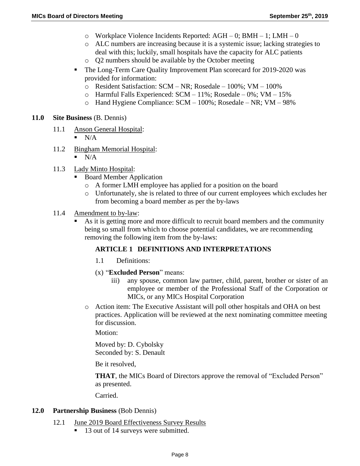- $\circ$  Workplace Violence Incidents Reported: AGH 0; BMH 1; LMH 0
- o ALC numbers are increasing because it is a systemic issue; lacking strategies to deal with this; luckily, small hospitals have the capacity for ALC patients
- o Q2 numbers should be available by the October meeting
- The Long-Term Care Quality Improvement Plan scorecard for 2019-2020 was provided for information:
	- o Resident Satisfaction: SCM NR; Rosedale 100%; VM 100%
	- o Harmful Falls Experienced: SCM 11%; Rosedale 0%; VM 15%
	- o Hand Hygiene Compliance: SCM 100%; Rosedale NR; VM 98%

## **11.0 Site Business** (B. Dennis)

- 11.1 Anson General Hospital:
	- $\blacksquare$  N/A
- 11.2 Bingham Memorial Hospital:
	- N/A
- 11.3 Lady Minto Hospital:
	- Board Member Application
		- o A former LMH employee has applied for a position on the board
		- o Unfortunately, she is related to three of our current employees which excludes her from becoming a board member as per the by-laws
- 11.4 Amendment to by-law:
	- As it is getting more and more difficult to recruit board members and the community being so small from which to choose potential candidates, we are recommending removing the following item from the by-laws:

# **ARTICLE 1 DEFINITIONS AND INTERPRETATIONS**

- 1.1 Definitions:
- (x) "**Excluded Person**" means:
	- iii) any spouse, common law partner, child, parent, brother or sister of an employee or member of the Professional Staff of the Corporation or MICs, or any MICs Hospital Corporation
- o Action item: The Executive Assistant will poll other hospitals and OHA on best practices. Application will be reviewed at the next nominating committee meeting for discussion.

Motion:

Moved by: D. Cybolsky Seconded by: S. Denault

Be it resolved,

**THAT**, the MICs Board of Directors approve the removal of "Excluded Person" as presented.

Carried.

## **12.0 Partnership Business** (Bob Dennis)

- 12.1 June 2019 Board Effectiveness Survey Results
	- 13 out of 14 surveys were submitted.